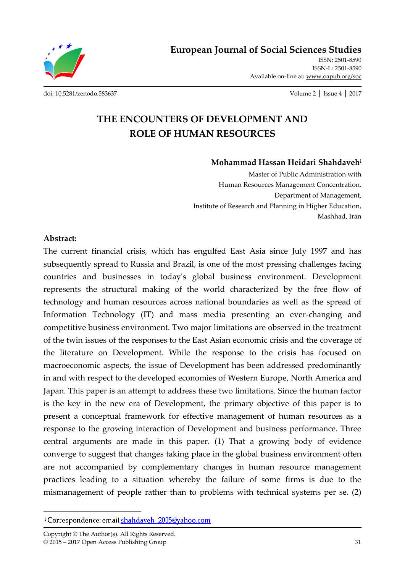ISSN: 2501-8590 ISSN-L: 2501-8590 Available on-line at**:** www.oapub.org/soc

[doi: 10.5281/zenodo.583637](http://dx.doi.org/10.5281/zenodo.583637) Volume 2 │ Issue 4 │ 2017

# **THE ENCOUNTERS OF DEVELOPMENT AND ROLE OF HUMAN RESOURCES**

#### **Mohammad Hassan Heidari Shahdaveh<sup>i</sup>**

Master of Public Administration with Human Resources Management Concentration, Department of Management, Institute of Research and Planning in Higher Education, Mashhad, Iran

#### **Abstract:**

 $\overline{a}$ 

The current financial crisis, which has engulfed East Asia since July 1997 and has subsequently spread to Russia and Brazil, is one of the most pressing challenges facing countries and businesses in today's global business environment. Development represents the structural making of the world characterized by the free flow of technology and human resources across national boundaries as well as the spread of Information Technology (IT) and mass media presenting an ever-changing and competitive business environment. Two major limitations are observed in the treatment of the twin issues of the responses to the East Asian economic crisis and the coverage of the literature on Development. While the response to the crisis has focused on macroeconomic aspects, the issue of Development has been addressed predominantly in and with respect to the developed economies of Western Europe, North America and Japan. This paper is an attempt to address these two limitations. Since the human factor is the key in the new era of Development, the primary objective of this paper is to present a conceptual framework for effective management of human resources as a response to the growing interaction of Development and business performance. Three central arguments are made in this paper. (1) That a growing body of evidence converge to suggest that changes taking place in the global business environment often are not accompanied by complementary changes in human resource management practices leading to a situation whereby the failure of some firms is due to the mismanagement of people rather than to problems with technical systems per se. (2)

<sup>&</sup>lt;sup>i</sup> Correspondence: email shahdaveh 2005@yahoo.com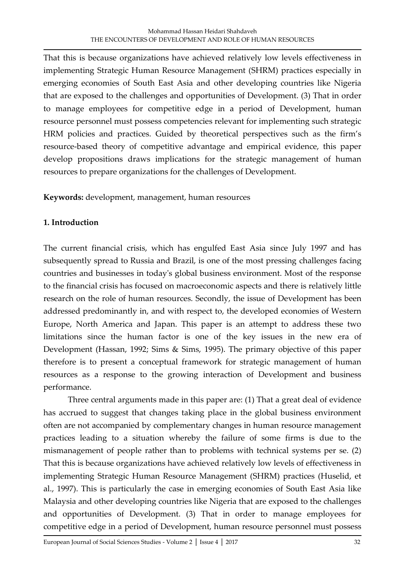That this is because organizations have achieved relatively low levels effectiveness in implementing Strategic Human Resource Management (SHRM) practices especially in emerging economies of South East Asia and other developing countries like Nigeria that are exposed to the challenges and opportunities of Development. (3) That in order to manage employees for competitive edge in a period of Development, human resource personnel must possess competencies relevant for implementing such strategic HRM policies and practices. Guided by theoretical perspectives such as the firm's resource-based theory of competitive advantage and empirical evidence, this paper develop propositions draws implications for the strategic management of human resources to prepare organizations for the challenges of Development.

**Keywords:** development, management, human resources

# **1. Introduction**

The current financial crisis, which has engulfed East Asia since July 1997 and has subsequently spread to Russia and Brazil, is one of the most pressing challenges facing countries and businesses in today's global business environment. Most of the response to the financial crisis has focused on macroeconomic aspects and there is relatively little research on the role of human resources. Secondly, the issue of Development has been addressed predominantly in, and with respect to, the developed economies of Western Europe, North America and Japan. This paper is an attempt to address these two limitations since the human factor is one of the key issues in the new era of Development (Hassan, 1992; Sims & Sims, 1995). The primary objective of this paper therefore is to present a conceptual framework for strategic management of human resources as a response to the growing interaction of Development and business performance.

Three central arguments made in this paper are: (1) That a great deal of evidence has accrued to suggest that changes taking place in the global business environment often are not accompanied by complementary changes in human resource management practices leading to a situation whereby the failure of some firms is due to the mismanagement of people rather than to problems with technical systems per se. (2) That this is because organizations have achieved relatively low levels of effectiveness in implementing Strategic Human Resource Management (SHRM) practices (Huselid, et al., 1997). This is particularly the case in emerging economies of South East Asia like Malaysia and other developing countries like Nigeria that are exposed to the challenges and opportunities of Development. (3) That in order to manage employees for competitive edge in a period of Development, human resource personnel must possess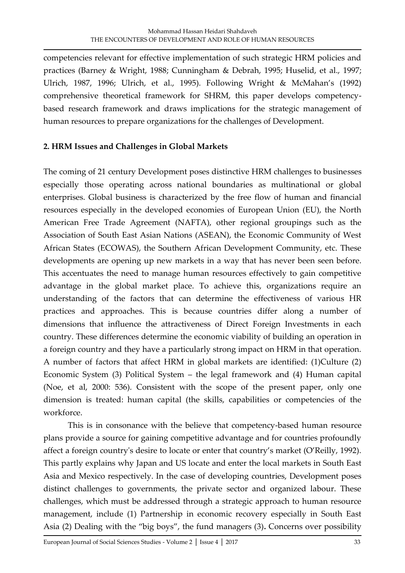competencies relevant for effective implementation of such strategic HRM policies and practices (Barney & Wright, 1988; Cunningham & Debrah, 1995; Huselid, et al., 1997; Ulrich, 1987, 1996; Ulrich, et al., 1995). Following Wright & McMahan's (1992) comprehensive theoretical framework for SHRM, this paper develops competencybased research framework and draws implications for the strategic management of human resources to prepare organizations for the challenges of Development.

# **2. HRM Issues and Challenges in Global Markets**

The coming of 21 century Development poses distinctive HRM challenges to businesses especially those operating across national boundaries as multinational or global enterprises. Global business is characterized by the free flow of human and financial resources especially in the developed economies of European Union (EU), the North American Free Trade Agreement (NAFTA), other regional groupings such as the Association of South East Asian Nations (ASEAN), the Economic Community of West African States (ECOWAS), the Southern African Development Community, etc. These developments are opening up new markets in a way that has never been seen before. This accentuates the need to manage human resources effectively to gain competitive advantage in the global market place. To achieve this, organizations require an understanding of the factors that can determine the effectiveness of various HR practices and approaches. This is because countries differ along a number of dimensions that influence the attractiveness of Direct Foreign Investments in each country. These differences determine the economic viability of building an operation in a foreign country and they have a particularly strong impact on HRM in that operation. A number of factors that affect HRM in global markets are identified: (1)Culture (2) Economic System (3) Political System – the legal framework and (4) Human capital (Noe, et al, 2000: 536). Consistent with the scope of the present paper, only one dimension is treated: human capital (the skills, capabilities or competencies of the workforce.

This is in consonance with the believe that competency-based human resource plans provide a source for gaining competitive advantage and for countries profoundly affect a foreign country's desire to locate or enter that country's market (O'Reilly, 1992). This partly explains why Japan and US locate and enter the local markets in South East Asia and Mexico respectively. In the case of developing countries, Development poses distinct challenges to governments, the private sector and organized labour. These challenges, which must be addressed through a strategic approach to human resource management, include (1) Partnership in economic recovery especially in South East Asia (2) Dealing with the "big boys", the fund managers (3)**.** Concerns over possibility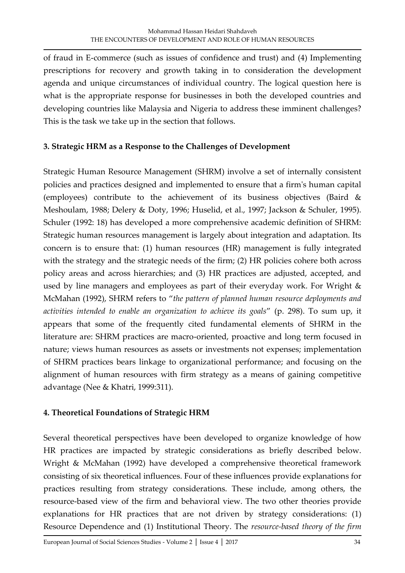of fraud in E-commerce (such as issues of confidence and trust) and (4) Implementing prescriptions for recovery and growth taking in to consideration the development agenda and unique circumstances of individual country. The logical question here is what is the appropriate response for businesses in both the developed countries and developing countries like Malaysia and Nigeria to address these imminent challenges? This is the task we take up in the section that follows.

# **3. Strategic HRM as a Response to the Challenges of Development**

Strategic Human Resource Management (SHRM) involve a set of internally consistent policies and practices designed and implemented to ensure that a firm's human capital (employees) contribute to the achievement of its business objectives (Baird & Meshoulam, 1988; Delery & Doty, 1996; Huselid, et al., 1997; Jackson & Schuler, 1995). Schuler (1992: 18) has developed a more comprehensive academic definition of SHRM: Strategic human resources management is largely about integration and adaptation. Its concern is to ensure that: (1) human resources (HR) management is fully integrated with the strategy and the strategic needs of the firm; (2) HR policies cohere both across policy areas and across hierarchies; and (3) HR practices are adjusted, accepted, and used by line managers and employees as part of their everyday work. For Wright & McMahan (1992), SHRM refers to "*the pattern of planned human resource deployments and activities intended to enable an organization to achieve its goals*" (p. 298). To sum up, it appears that some of the frequently cited fundamental elements of SHRM in the literature are: SHRM practices are macro-oriented, proactive and long term focused in nature; views human resources as assets or investments not expenses; implementation of SHRM practices bears linkage to organizational performance; and focusing on the alignment of human resources with firm strategy as a means of gaining competitive advantage (Nee & Khatri, 1999:311).

#### **4. Theoretical Foundations of Strategic HRM**

Several theoretical perspectives have been developed to organize knowledge of how HR practices are impacted by strategic considerations as briefly described below. Wright & McMahan (1992) have developed a comprehensive theoretical framework consisting of six theoretical influences. Four of these influences provide explanations for practices resulting from strategy considerations. These include, among others, the resource-based view of the firm and behavioral view. The two other theories provide explanations for HR practices that are not driven by strategy considerations: (1) Resource Dependence and (1) Institutional Theory. The *resource-based theory of the firm*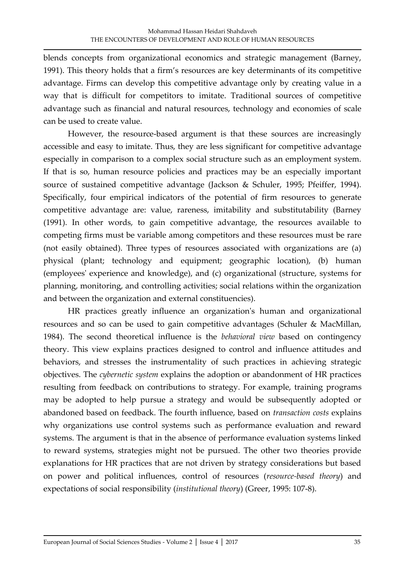blends concepts from organizational economics and strategic management (Barney, 1991). This theory holds that a firm's resources are key determinants of its competitive advantage. Firms can develop this competitive advantage only by creating value in a way that is difficult for competitors to imitate. Traditional sources of competitive advantage such as financial and natural resources, technology and economies of scale can be used to create value.

However, the resource-based argument is that these sources are increasingly accessible and easy to imitate. Thus, they are less significant for competitive advantage especially in comparison to a complex social structure such as an employment system. If that is so, human resource policies and practices may be an especially important source of sustained competitive advantage (Jackson & Schuler, 1995; Pfeiffer, 1994). Specifically, four empirical indicators of the potential of firm resources to generate competitive advantage are: value, rareness, imitability and substitutability (Barney (1991). In other words, to gain competitive advantage, the resources available to competing firms must be variable among competitors and these resources must be rare (not easily obtained). Three types of resources associated with organizations are (a) physical (plant; technology and equipment; geographic location), (b) human (employees' experience and knowledge), and (c) organizational (structure, systems for planning, monitoring, and controlling activities; social relations within the organization and between the organization and external constituencies).

HR practices greatly influence an organization's human and organizational resources and so can be used to gain competitive advantages (Schuler & MacMillan, 1984). The second theoretical influence is the *behavioral view* based on contingency theory. This view explains practices designed to control and influence attitudes and behaviors, and stresses the instrumentality of such practices in achieving strategic objectives. The *cybernetic system* explains the adoption or abandonment of HR practices resulting from feedback on contributions to strategy. For example, training programs may be adopted to help pursue a strategy and would be subsequently adopted or abandoned based on feedback. The fourth influence, based on *transaction costs* explains why organizations use control systems such as performance evaluation and reward systems. The argument is that in the absence of performance evaluation systems linked to reward systems, strategies might not be pursued. The other two theories provide explanations for HR practices that are not driven by strategy considerations but based on power and political influences, control of resources (*resource-based theory*) and expectations of social responsibility (*institutional theory*) (Greer, 1995: 107-8).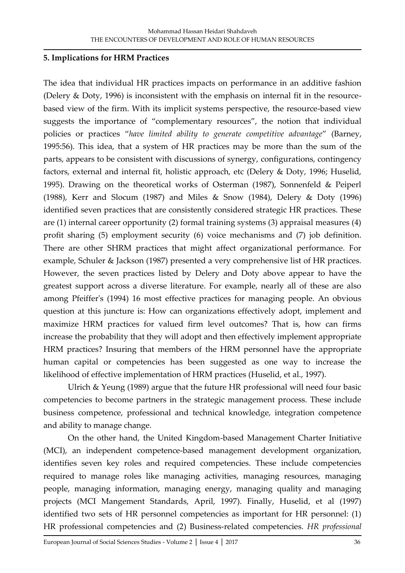## **5. Implications for HRM Practices**

The idea that individual HR practices impacts on performance in an additive fashion (Delery & Doty, 1996) is inconsistent with the emphasis on internal fit in the resourcebased view of the firm. With its implicit systems perspective, the resource-based view suggests the importance of "complementary resources", the notion that individual policies or practices "*have limited ability to generate competitive advantage*" (Barney, 1995:56). This idea, that a system of HR practices may be more than the sum of the parts, appears to be consistent with discussions of synergy, configurations, contingency factors, external and internal fit, holistic approach, etc (Delery & Doty, 1996; Huselid, 1995). Drawing on the theoretical works of Osterman (1987), Sonnenfeld & Peiperl (1988), Kerr and Slocum (1987) and Miles & Snow (1984), Delery & Doty (1996) identified seven practices that are consistently considered strategic HR practices. These are (1) internal career opportunity (2) formal training systems (3) appraisal measures (4) profit sharing (5) employment security (6) voice mechanisms and (7) job definition. There are other SHRM practices that might affect organizational performance. For example, Schuler & Jackson (1987) presented a very comprehensive list of HR practices. However, the seven practices listed by Delery and Doty above appear to have the greatest support across a diverse literature. For example, nearly all of these are also among Pfeiffer's (1994) 16 most effective practices for managing people. An obvious question at this juncture is: How can organizations effectively adopt, implement and maximize HRM practices for valued firm level outcomes? That is, how can firms increase the probability that they will adopt and then effectively implement appropriate HRM practices? Insuring that members of the HRM personnel have the appropriate human capital or competencies has been suggested as one way to increase the likelihood of effective implementation of HRM practices (Huselid, et al., 1997).

Ulrich & Yeung (1989) argue that the future HR professional will need four basic competencies to become partners in the strategic management process. These include business competence, professional and technical knowledge, integration competence and ability to manage change.

On the other hand, the United Kingdom-based Management Charter Initiative (MCI), an independent competence-based management development organization, identifies seven key roles and required competencies. These include competencies required to manage roles like managing activities, managing resources, managing people, managing information, managing energy, managing quality and managing projects (MCI Mangement Standards, April, 1997). Finally, Huselid, et al (1997) identified two sets of HR personnel competencies as important for HR personnel: (1) HR professional competencies and (2) Business-related competencies. *HR professional*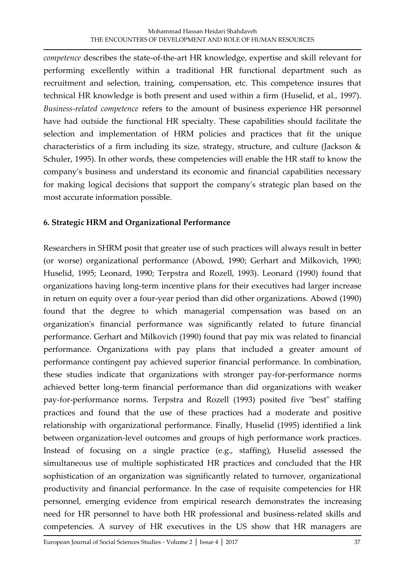*competence* describes the state-of-the-art HR knowledge, expertise and skill relevant for performing excellently within a traditional HR functional department such as recruitment and selection, training, compensation, etc. This competence insures that technical HR knowledge is both present and used within a firm (Huselid, et al., 1997). *Business-related competence* refers to the amount of business experience HR personnel have had outside the functional HR specialty. These capabilities should facilitate the selection and implementation of HRM policies and practices that fit the unique characteristics of a firm including its size, strategy, structure, and culture (Jackson & Schuler, 1995). In other words, these competencies will enable the HR staff to know the company's business and understand its economic and financial capabilities necessary for making logical decisions that support the company's strategic plan based on the most accurate information possible.

# **6. Strategic HRM and Organizational Performance**

Researchers in SHRM posit that greater use of such practices will always result in better (or worse) organizational performance (Abowd, 1990; Gerhart and Milkovich, 1990; Huselid, 1995; Leonard, 1990; Terpstra and Rozell, 1993). Leonard (1990) found that organizations having long-term incentive plans for their executives had larger increase in return on equity over a four-year period than did other organizations. Abowd (1990) found that the degree to which managerial compensation was based on an organization's financial performance was significantly related to future financial performance. Gerhart and Milkovich (1990) found that pay mix was related to financial performance. Organizations with pay plans that included a greater amount of performance contingent pay achieved superior financial performance. In combination, these studies indicate that organizations with stronger pay-for-performance norms achieved better long-term financial performance than did organizations with weaker pay-for-performance norms. Terpstra and Rozell (1993) posited five "best" staffing practices and found that the use of these practices had a moderate and positive relationship with organizational performance. Finally, Huselid (1995) identified a link between organization-level outcomes and groups of high performance work practices. Instead of focusing on a single practice (e.g., staffing), Huselid assessed the simultaneous use of multiple sophisticated HR practices and concluded that the HR sophistication of an organization was significantly related to turnover, organizational productivity and financial performance. In the case of requisite competencies for HR personnel, emerging evidence from empirical research demonstrates the increasing need for HR personnel to have both HR professional and business-related skills and competencies. A survey of HR executives in the US show that HR managers are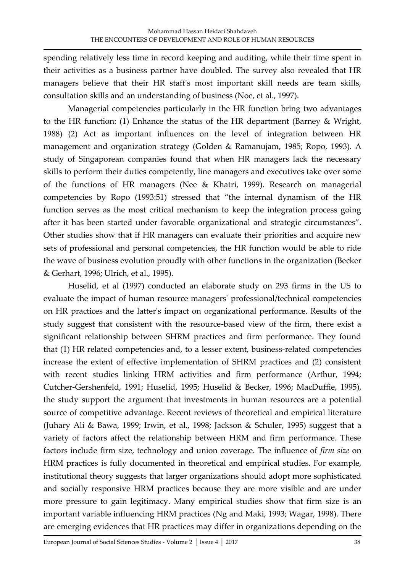spending relatively less time in record keeping and auditing, while their time spent in their activities as a business partner have doubled. The survey also revealed that HR managers believe that their HR staff's most important skill needs are team skills, consultation skills and an understanding of business (Noe, et al., 1997).

Managerial competencies particularly in the HR function bring two advantages to the HR function: (1) Enhance the status of the HR department (Barney & Wright, 1988) (2) Act as important influences on the level of integration between HR management and organization strategy (Golden & Ramanujam, 1985; Ropo, 1993). A study of Singaporean companies found that when HR managers lack the necessary skills to perform their duties competently, line managers and executives take over some of the functions of HR managers (Nee & Khatri, 1999). Research on managerial competencies by Ropo (1993:51) stressed that "the internal dynamism of the HR function serves as the most critical mechanism to keep the integration process going after it has been started under favorable organizational and strategic circumstances". Other studies show that if HR managers can evaluate their priorities and acquire new sets of professional and personal competencies, the HR function would be able to ride the wave of business evolution proudly with other functions in the organization (Becker & Gerhart, 1996; Ulrich, et al., 1995).

Huselid, et al (1997) conducted an elaborate study on 293 firms in the US to evaluate the impact of human resource managers' professional/technical competencies on HR practices and the latter's impact on organizational performance. Results of the study suggest that consistent with the resource-based view of the firm, there exist a significant relationship between SHRM practices and firm performance. They found that (1) HR related competencies and, to a lesser extent, business-related competencies increase the extent of effective implementation of SHRM practices and (2) consistent with recent studies linking HRM activities and firm performance (Arthur, 1994; Cutcher-Gershenfeld, 1991; Huselid, 1995; Huselid & Becker, 1996; MacDuffie, 1995), the study support the argument that investments in human resources are a potential source of competitive advantage. Recent reviews of theoretical and empirical literature (Juhary Ali & Bawa, 1999; Irwin, et al., 1998; Jackson & Schuler, 1995) suggest that a variety of factors affect the relationship between HRM and firm performance. These factors include firm size, technology and union coverage. The influence of *firm size* on HRM practices is fully documented in theoretical and empirical studies. For example, institutional theory suggests that larger organizations should adopt more sophisticated and socially responsive HRM practices because they are more visible and are under more pressure to gain legitimacy. Many empirical studies show that firm size is an important variable influencing HRM practices (Ng and Maki, 1993; Wagar, 1998). There are emerging evidences that HR practices may differ in organizations depending on the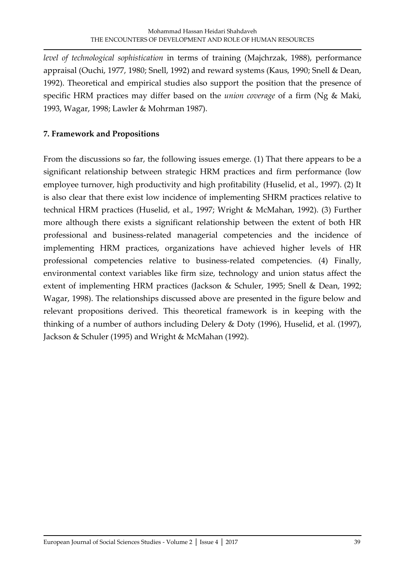*level of technological sophistication* in terms of training (Majchrzak, 1988), performance appraisal (Ouchi, 1977, 1980; Snell, 1992) and reward systems (Kaus, 1990; Snell & Dean, 1992). Theoretical and empirical studies also support the position that the presence of specific HRM practices may differ based on the *union coverage* of a firm (Ng & Maki, 1993, Wagar, 1998; Lawler & Mohrman 1987).

## **7. Framework and Propositions**

From the discussions so far, the following issues emerge. (1) That there appears to be a significant relationship between strategic HRM practices and firm performance (low employee turnover, high productivity and high profitability (Huselid, et al., 1997). (2) It is also clear that there exist low incidence of implementing SHRM practices relative to technical HRM practices (Huselid, et al., 1997; Wright & McMahan, 1992). (3) Further more although there exists a significant relationship between the extent of both HR professional and business-related managerial competencies and the incidence of implementing HRM practices, organizations have achieved higher levels of HR professional competencies relative to business-related competencies. (4) Finally, environmental context variables like firm size, technology and union status affect the extent of implementing HRM practices (Jackson & Schuler, 1995; Snell & Dean, 1992; Wagar, 1998). The relationships discussed above are presented in the figure below and relevant propositions derived. This theoretical framework is in keeping with the thinking of a number of authors including Delery & Doty (1996), Huselid, et al. (1997), Jackson & Schuler (1995) and Wright & McMahan (1992).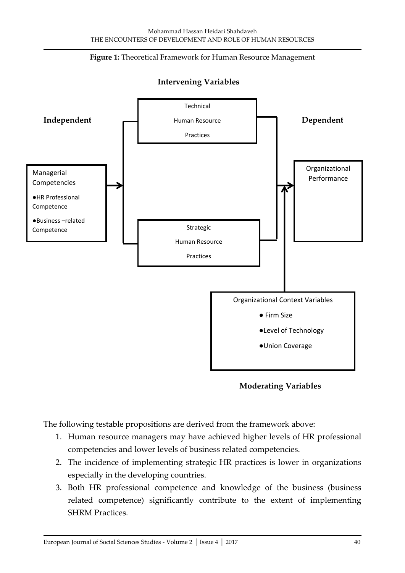



#### **Intervening Variables**

**Moderating Variables**

The following testable propositions are derived from the framework above:

- 1. Human resource managers may have achieved higher levels of HR professional competencies and lower levels of business related competencies.
- 2. The incidence of implementing strategic HR practices is lower in organizations especially in the developing countries.
- 3. Both HR professional competence and knowledge of the business (business related competence) significantly contribute to the extent of implementing SHRM Practices.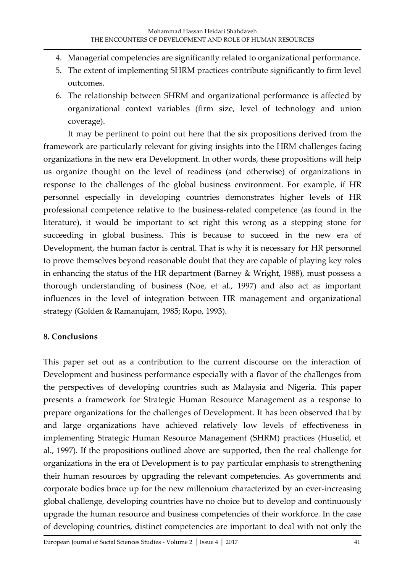- 4. Managerial competencies are significantly related to organizational performance.
- 5. The extent of implementing SHRM practices contribute significantly to firm level outcomes.
- 6. The relationship between SHRM and organizational performance is affected by organizational context variables (firm size, level of technology and union coverage).

It may be pertinent to point out here that the six propositions derived from the framework are particularly relevant for giving insights into the HRM challenges facing organizations in the new era Development. In other words, these propositions will help us organize thought on the level of readiness (and otherwise) of organizations in response to the challenges of the global business environment. For example, if HR personnel especially in developing countries demonstrates higher levels of HR professional competence relative to the business-related competence (as found in the literature), it would be important to set right this wrong as a stepping stone for succeeding in global business. This is because to succeed in the new era of Development, the human factor is central. That is why it is necessary for HR personnel to prove themselves beyond reasonable doubt that they are capable of playing key roles in enhancing the status of the HR department (Barney & Wright, 1988), must possess a thorough understanding of business (Noe, et al., 1997) and also act as important influences in the level of integration between HR management and organizational strategy (Golden & Ramanujam, 1985; Ropo, 1993).

#### **8. Conclusions**

This paper set out as a contribution to the current discourse on the interaction of Development and business performance especially with a flavor of the challenges from the perspectives of developing countries such as Malaysia and Nigeria. This paper presents a framework for Strategic Human Resource Management as a response to prepare organizations for the challenges of Development. It has been observed that by and large organizations have achieved relatively low levels of effectiveness in implementing Strategic Human Resource Management (SHRM) practices (Huselid, et al., 1997). If the propositions outlined above are supported, then the real challenge for organizations in the era of Development is to pay particular emphasis to strengthening their human resources by upgrading the relevant competencies. As governments and corporate bodies brace up for the new millennium characterized by an ever-increasing global challenge, developing countries have no choice but to develop and continuously upgrade the human resource and business competencies of their workforce. In the case of developing countries, distinct competencies are important to deal with not only the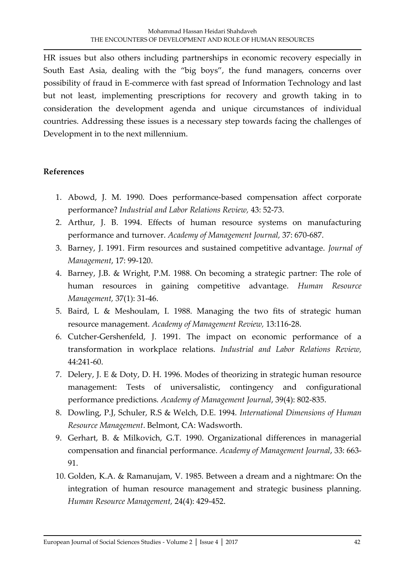HR issues but also others including partnerships in economic recovery especially in South East Asia, dealing with the "big boys", the fund managers, concerns over possibility of fraud in E-commerce with fast spread of Information Technology and last but not least, implementing prescriptions for recovery and growth taking in to consideration the development agenda and unique circumstances of individual countries. Addressing these issues is a necessary step towards facing the challenges of Development in to the next millennium.

#### **References**

- 1. Abowd, J. M. 1990. Does performance-based compensation affect corporate performance? *Industrial and Labor Relations Review,* 43: 52-73.
- 2. Arthur, J. B. 1994. Effects of human resource systems on manufacturing performance and turnover. *Academy of Management Journal,* 37: 670-687.
- 3. Barney, J. 1991. Firm resources and sustained competitive advantage. *Journal of Management*, 17: 99-120.
- 4. Barney, J.B. & Wright, P.M. 1988. On becoming a strategic partner: The role of human resources in gaining competitive advantage. *Human Resource Management,* 37(1): 31-46.
- 5. Baird, L & Meshoulam, I. 1988. Managing the two fits of strategic human resource management. *Academy of Management Review,* 13:116-28.
- 6. Cutcher-Gershenfeld, J. 1991. The impact on economic performance of a transformation in workplace relations. *Industrial and Labor Relations Review,*  44:241-60.
- 7. Delery, J. E & Doty, D. H. 1996. Modes of theorizing in strategic human resource management: Tests of universalistic, contingency and configurational performance predictions. *Academy of Management Journal*, 39(4): 802-835.
- 8. Dowling, P.J, Schuler, R.S & Welch, D.E. 1994. *International Dimensions of Human Resource Management*. Belmont, CA: Wadsworth.
- 9. Gerhart, B. & Milkovich, G.T. 1990. Organizational differences in managerial compensation and financial performance. *Academy of Management Journal*, 33: 663- 91.
- 10. Golden, K.A. & Ramanujam, V. 1985. Between a dream and a nightmare: On the integration of human resource management and strategic business planning. *Human Resource Management,* 24(4): 429-452.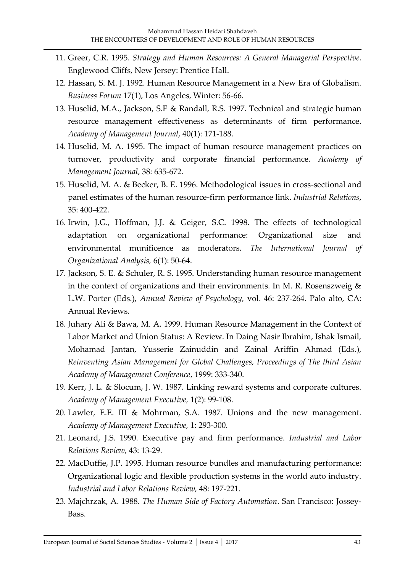- 11. Greer, C.R. 1995. *Strategy and Human Resources: A General Managerial Perspective.*  Englewood Cliffs, New Jersey: Prentice Hall.
- 12. Hassan, S. M. J. 1992. Human Resource Management in a New Era of Globalism. *Business Forum* 17(1), Los Angeles, Winter: 56-66.
- 13. Huselid, M.A., Jackson, S.E & Randall, R.S. 1997. Technical and strategic human resource management effectiveness as determinants of firm performance. *Academy of Management Journal*, 40(1): 171-188.
- 14. Huselid, M. A. 1995. The impact of human resource management practices on turnover, productivity and corporate financial performance. *Academy of Management Journal*, 38: 635-672.
- 15. Huselid, M. A. & Becker, B. E. 1996. Methodological issues in cross-sectional and panel estimates of the human resource-firm performance link. *Industrial Relations*, 35: 400-422.
- 16. Irwin, J.G., Hoffman, J.J. & Geiger, S.C. 1998. The effects of technological adaptation on organizational performance: Organizational size and environmental munificence as moderators. *The International Journal of Organizational Analysis,* 6(1): 50-64.
- 17. Jackson, S. E. & Schuler, R. S. 1995. Understanding human resource management in the context of organizations and their environments. In M. R. Rosenszweig & L.W. Porter (Eds.), *Annual Review of Psychology,* vol. 46: 237-264. Palo alto, CA: Annual Reviews.
- 18. Juhary Ali & Bawa, M. A. 1999. Human Resource Management in the Context of Labor Market and Union Status: A Review. In Daing Nasir Ibrahim, Ishak Ismail, Mohamad Jantan, Yusserie Zainuddin and Zainal Ariffin Ahmad (Eds.), *Reinventing Asian Management for Global Challenges, Proceedings of The third Asian Academy of Management Conference*, 1999: 333-340.
- 19. Kerr, J. L. & Slocum, J. W. 1987. Linking reward systems and corporate cultures. *Academy of Management Executive,* 1(2): 99-108.
- 20. Lawler, E.E. III & Mohrman, S.A. 1987. Unions and the new management. *Academy of Management Executive,* 1: 293-300.
- 21. Leonard, J.S. 1990. Executive pay and firm performance. *Industrial and Labor Relations Review,* 43: 13-29.
- 22. MacDuffie, J.P. 1995. Human resource bundles and manufacturing performance: Organizational logic and flexible production systems in the world auto industry. *Industrial and Labor Relations Review,* 48: 197-221.
- 23. Majchrzak, A. 1988. *The Human Side of Factory Automation*. San Francisco: Jossey-Bass.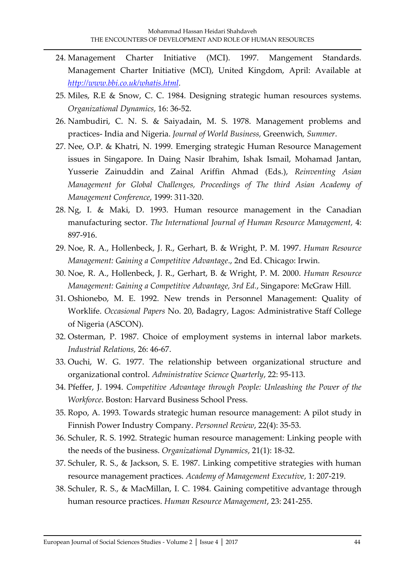- 24. Management Charter Initiative (MCI). 1997. Mangement Standards. Management Charter Initiative (MCI), United Kingdom, April: Available at *[http://www.bbi.co.uk/whatis.html.](http://www.bbi.co.uk/whatis.html)*
- 25. Miles, R.E & Snow, C. C. 1984. Designing strategic human resources systems. *Organizational Dynamics,* 16: 36-52.
- 26. Nambudiri, C. N. S. & Saiyadain, M. S. 1978. Management problems and practices- India and Nigeria. *Journal of World Business,* Greenwich*, Summer*.
- 27. Nee, O.P. & Khatri, N. 1999. Emerging strategic Human Resource Management issues in Singapore. In Daing Nasir Ibrahim, Ishak Ismail, Mohamad Jantan, Yusserie Zainuddin and Zainal Ariffin Ahmad (Eds.), *Reinventing Asian Management for Global Challenges, Proceedings of The third Asian Academy of Management Conference*, 1999: 311-320.
- 28. Ng, I. & Maki, D. 1993. Human resource management in the Canadian manufacturing sector. *The International Journal of Human Resource Management,* 4: 897-916.
- 29. Noe, R. A., Hollenbeck, J. R., Gerhart, B. & Wright, P. M. 1997. *Human Resource Management: Gaining a Competitive Advantage*., 2nd Ed. Chicago: Irwin.
- 30. Noe, R. A., Hollenbeck, J. R., Gerhart, B. & Wright, P. M. 2000. *Human Resource Management: Gaining a Competitive Advantage, 3rd Ed.*, Singapore: McGraw Hill.
- 31. Oshionebo, M. E. 1992. New trends in Personnel Management: Quality of Worklife. *Occasional Papers* No. 20, Badagry, Lagos: Administrative Staff College of Nigeria (ASCON).
- 32. Osterman, P. 1987. Choice of employment systems in internal labor markets. *Industrial Relations,* 26: 46-67.
- 33. Ouchi, W. G. 1977. The relationship between organizational structure and organizational control. *Administrative Science Quarterly*, 22: 95-113.
- 34. Pfeffer, J. 1994. *Competitive Advantage through People: Unleashing the Power of the Workforce*. Boston: Harvard Business School Press.
- 35. Ropo, A. 1993. Towards strategic human resource management: A pilot study in Finnish Power Industry Company. *Personnel Review*, 22(4): 35-53.
- 36. Schuler, R. S. 1992. Strategic human resource management: Linking people with the needs of the business. *Organizational Dynamics*, 21(1): 18-32.
- 37. Schuler, R. S., & Jackson, S. E. 1987. Linking competitive strategies with human resource management practices. *Academy of Management Executive*, 1: 207-219.
- 38. Schuler, R. S., & MacMillan, I. C. 1984. Gaining competitive advantage through human resource practices. *Human Resource Management*, 23: 241-255.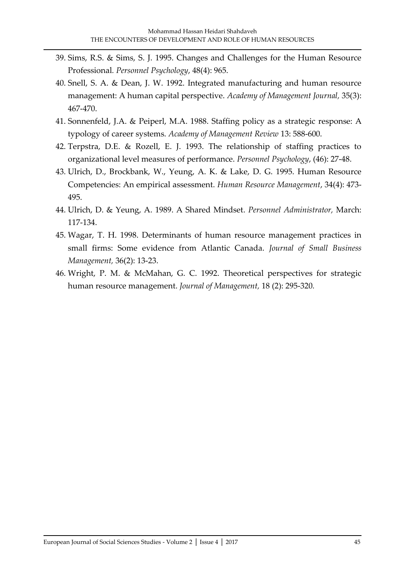- 39. Sims, R.S. & Sims, S. J. 1995. Changes and Challenges for the Human Resource Professional*. Personnel Psychology*, 48(4): 965.
- 40. Snell, S. A. & Dean, J. W. 1992. Integrated manufacturing and human resource management: A human capital perspective. *Academy of Management Journal,* 35(3): 467-470.
- 41. Sonnenfeld, J.A. & Peiperl, M.A. 1988. Staffing policy as a strategic response: A typology of career systems. *Academy of Management Review* 13: 588-600.
- 42. Terpstra, D.E. & Rozell, E. J. 1993. The relationship of staffing practices to organizational level measures of performance. *Personnel Psychology*, (46): 27-48.
- 43. Ulrich, D., Brockbank, W., Yeung, A. K. & Lake, D. G. 1995. Human Resource Competencies: An empirical assessment. *Human Resource Management*, 34(4): 473- 495.
- 44. Ulrich, D. & Yeung, A. 1989. A Shared Mindset. *Personnel Administrator,* March: 117-134.
- 45. Wagar, T. H. 1998. Determinants of human resource management practices in small firms: Some evidence from Atlantic Canada. *Journal of Small Business Management,* 36(2): 13-23.
- 46. Wright, P. M. & McMahan, G. C. 1992. Theoretical perspectives for strategic human resource management. *Journal of Management,* 18 (2): 295-320*.*